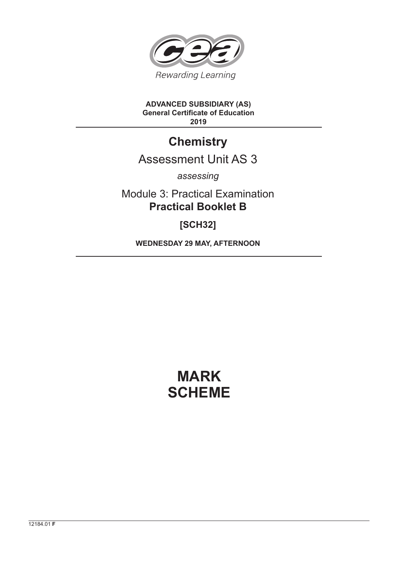

#### **ADVANCED SUBSIDIARY (AS) General Certificate of Education 2019**

## **Chemistry**

### Assessment Unit AS 3

*assessing*

Module 3: Practical Examination **Practical Booklet B**

**[SCH32]**

**WEDNESDAY 29 MAY, AFTERNOON**

# **MARK SCHEME**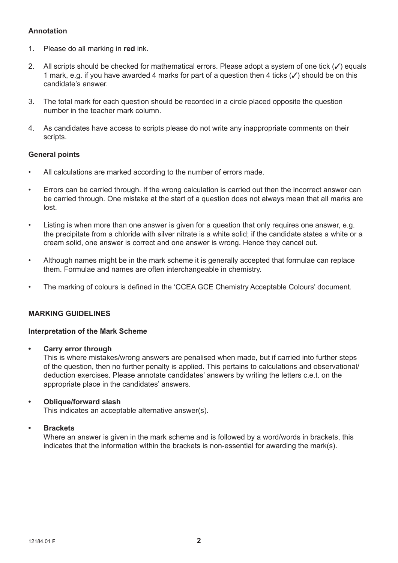#### **Annotation**

- 1. Please do all marking in **red** ink.
- 2. All scripts should be checked for mathematical errors. Please adopt a system of one tick  $(\checkmark)$  equals 1 mark, e.g. if you have awarded 4 marks for part of a question then 4 ticks  $(\checkmark)$  should be on this candidate's answer.
- 3. The total mark for each question should be recorded in a circle placed opposite the question number in the teacher mark column.
- 4. As candidates have access to scripts please do not write any inappropriate comments on their scripts.

#### **General points**

- All calculations are marked according to the number of errors made.
- Errors can be carried through. If the wrong calculation is carried out then the incorrect answer can be carried through. One mistake at the start of a question does not always mean that all marks are lost.
- Listing is when more than one answer is given for a question that only requires one answer, e.g. the precipitate from a chloride with silver nitrate is a white solid; if the candidate states a white or a cream solid, one answer is correct and one answer is wrong. Hence they cancel out.
- Although names might be in the mark scheme it is generally accepted that formulae can replace them. Formulae and names are often interchangeable in chemistry.
- The marking of colours is defined in the 'CCEA GCE Chemistry Acceptable Colours' document.

#### **MARKING GUIDELINES**

#### **Interpretation of the Mark Scheme**

**• Carry error through**

 This is where mistakes/wrong answers are penalised when made, but if carried into further steps of the question, then no further penalty is applied. This pertains to calculations and observational/ deduction exercises. Please annotate candidates' answers by writing the letters c.e.t. on the appropriate place in the candidates' answers.

#### **• Oblique/forward slash**

This indicates an acceptable alternative answer(s).

#### **• Brackets**

 Where an answer is given in the mark scheme and is followed by a word/words in brackets, this indicates that the information within the brackets is non-essential for awarding the mark(s).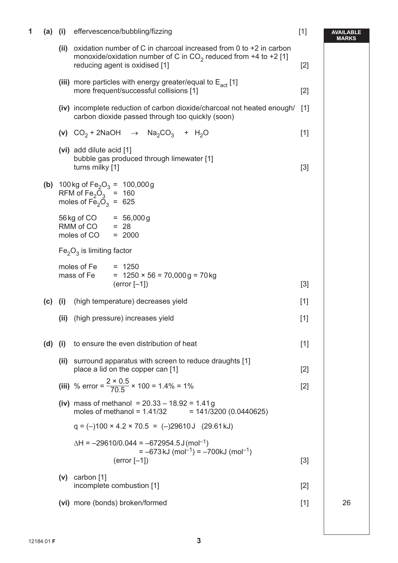| 1 |           |      | (a) (i) effervescence/bubbling/fizzing                                                                                                                                           | $[1]$ | AVAILABLE<br>MARKS |
|---|-----------|------|----------------------------------------------------------------------------------------------------------------------------------------------------------------------------------|-------|--------------------|
|   |           |      | (ii) oxidation number of C in charcoal increased from 0 to $+2$ in carbon<br>monoxide/oxidation number of C in $CO2$ reduced from +4 to +2 [1]<br>reducing agent is oxidised [1] | $[2]$ |                    |
|   |           |      | (iii) more particles with energy greater/equal to $E_{\text{act}}$ [1]<br>more frequent/successful collisions [1]                                                                | $[2]$ |                    |
|   |           |      | (iv) incomplete reduction of carbon dioxide/charcoal not heated enough/<br>carbon dioxide passed through too quickly (soon)                                                      | [1]   |                    |
|   |           |      | (v) $CO_2 + 2NaOH \rightarrow Na_2CO_3 + H_2O$                                                                                                                                   | $[1]$ |                    |
|   |           |      | (vi) add dilute acid [1]<br>bubble gas produced through limewater [1]<br>turns milky [1]                                                                                         | $[3]$ |                    |
|   |           |      | (b) 100 kg of $Fe2O3 = 100,000 g$<br>RFM of Fe <sub>2</sub> O <sub>3</sub> = 160<br>moles of $Fe2O3 = 625$                                                                       |       |                    |
|   |           |      | $56 \text{ kg of CO}$ = 56,000g<br>RMM of CO $= 28$<br>moles of CO<br>$= 2000$                                                                                                   |       |                    |
|   |           |      | $Fe2O3$ is limiting factor                                                                                                                                                       |       |                    |
|   |           |      | moles of Fe<br>$= 1250$<br>mass of Fe<br>$= 1250 \times 56 = 70,000 \text{ g} = 70 \text{ kg}$<br>$(error [-1])$                                                                 | $[3]$ |                    |
|   | (c)       | (i)  | (high temperature) decreases yield                                                                                                                                               | $[1]$ |                    |
|   |           | (ii) | (high pressure) increases yield                                                                                                                                                  | $[1]$ |                    |
|   | $(d)$ (i) |      | to ensure the even distribution of heat                                                                                                                                          | $[1]$ |                    |
|   |           | (ii) | surround apparatus with screen to reduce draughts [1]<br>place a lid on the copper can [1]                                                                                       | $[2]$ |                    |
|   |           |      | (iii) % error = $\frac{2 \times 0.5}{70.5}$ × 100 = 1.4% = 1%                                                                                                                    | $[2]$ |                    |
|   |           |      | (iv) mass of methanol = $20.33 - 18.92 = 1.41g$<br>moles of methanol = $1.41/32$<br>$= 141/3200 (0.0440625)$                                                                     |       |                    |
|   |           |      | $q = (-100 \times 4.2 \times 70.5) = (-29610 \text{ J} (29.61 \text{ kJ})$                                                                                                       |       |                    |
|   |           |      | $\Delta H = -29610/0.044 = -672954.5 \text{ J} (\text{mol}^{-1})$<br>$= -673$ kJ (mol <sup>-1</sup> ) = $-700$ kJ (mol <sup>-1</sup> )<br>$(error [-1])$                         | $[3]$ |                    |
|   |           |      | $(v)$ carbon [1]<br>incomplete combustion [1]                                                                                                                                    | $[2]$ |                    |
|   |           |      | (vi) more (bonds) broken/formed                                                                                                                                                  | $[1]$ | 26                 |
|   |           |      |                                                                                                                                                                                  |       |                    |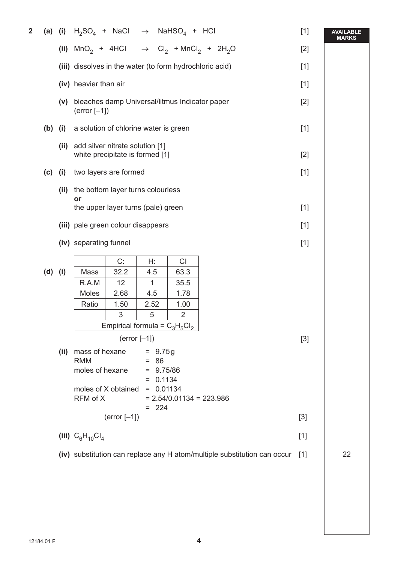| $\overline{2}$ |                                                                                   |                                                                          | (a) (i) $H_2SO_4$ + NaCl $\rightarrow$ NaHSO <sub>4</sub> + HCl                                                                                                                                |                |           |                                  |                                                                                           | $[1]$ | <b>AVAILABLE</b><br><b>MARKS</b> |
|----------------|-----------------------------------------------------------------------------------|--------------------------------------------------------------------------|------------------------------------------------------------------------------------------------------------------------------------------------------------------------------------------------|----------------|-----------|----------------------------------|-------------------------------------------------------------------------------------------|-------|----------------------------------|
|                |                                                                                   |                                                                          |                                                                                                                                                                                                |                |           |                                  | (ii) $MnO_2$ + 4HCl $\rightarrow$ Cl <sub>2</sub> + MnCl <sub>2</sub> + 2H <sub>2</sub> O | $[2]$ |                                  |
|                | (iii) dissolves in the water (to form hydrochloric acid)<br>(iv) heavier than air |                                                                          |                                                                                                                                                                                                |                |           |                                  |                                                                                           | $[1]$ |                                  |
|                |                                                                                   |                                                                          |                                                                                                                                                                                                |                |           |                                  |                                                                                           | $[1]$ |                                  |
|                | bleaches damp Universal/litmus Indicator paper<br>(v)<br>$(error [-1])$           |                                                                          |                                                                                                                                                                                                |                |           |                                  |                                                                                           |       |                                  |
|                | $(b)$ (i)                                                                         |                                                                          | a solution of chlorine water is green                                                                                                                                                          |                |           |                                  |                                                                                           | $[1]$ |                                  |
|                |                                                                                   | (ii)                                                                     | add silver nitrate solution [1]<br>white precipitate is formed [1]                                                                                                                             |                |           |                                  |                                                                                           |       |                                  |
|                | $(c)$ (i)                                                                         |                                                                          | two layers are formed                                                                                                                                                                          |                | $[1]$     |                                  |                                                                                           |       |                                  |
|                |                                                                                   | (ii)                                                                     | the bottom layer turns colourless                                                                                                                                                              |                |           |                                  |                                                                                           |       |                                  |
|                | or<br>the upper layer turns (pale) green                                          |                                                                          |                                                                                                                                                                                                |                |           |                                  |                                                                                           | $[1]$ |                                  |
|                |                                                                                   |                                                                          |                                                                                                                                                                                                |                | $[1]$     |                                  |                                                                                           |       |                                  |
|                |                                                                                   |                                                                          | (iii) pale green colour disappears<br>(iv) separating funnel                                                                                                                                   |                |           |                                  |                                                                                           |       |                                  |
|                |                                                                                   |                                                                          |                                                                                                                                                                                                |                |           |                                  |                                                                                           | $[1]$ |                                  |
|                | $(d)$ (i)                                                                         |                                                                          | Mass                                                                                                                                                                                           | C:<br>32.2     | H:<br>4.5 | CI<br>63.3                       |                                                                                           |       |                                  |
|                |                                                                                   |                                                                          | R.A.M                                                                                                                                                                                          | 12             | 1         | 35.5                             |                                                                                           |       |                                  |
|                |                                                                                   |                                                                          | Moles                                                                                                                                                                                          | 2.68           | 4.5       | 1.78                             |                                                                                           |       |                                  |
|                |                                                                                   |                                                                          | Ratio                                                                                                                                                                                          | 1.50           | 2.52      | 1.00                             |                                                                                           |       |                                  |
|                |                                                                                   |                                                                          |                                                                                                                                                                                                | 3              | 5         | $\overline{2}$                   |                                                                                           |       |                                  |
|                |                                                                                   |                                                                          |                                                                                                                                                                                                |                |           | Empirical formula = $C_3H_5Cl_2$ |                                                                                           |       |                                  |
|                |                                                                                   |                                                                          | $(error [-1])$                                                                                                                                                                                 |                |           |                                  | $[3]$                                                                                     |       |                                  |
|                |                                                                                   | (ii)                                                                     | mass of hexane<br>$= 9.75g$<br><b>RMM</b><br>$= 86$<br>moles of hexane<br>$= 9.75/86$<br>$= 0.1134$<br>moles of X obtained<br>$= 0.01134$<br>RFM of X<br>$= 2.54/0.01134 = 223.986$<br>$= 224$ |                |           |                                  |                                                                                           |       |                                  |
|                |                                                                                   |                                                                          |                                                                                                                                                                                                | $(error [-1])$ |           |                                  |                                                                                           | $[3]$ |                                  |
|                |                                                                                   |                                                                          | (iii) $C_6H_{10}Cl_4$                                                                                                                                                                          |                |           |                                  |                                                                                           | $[1]$ |                                  |
|                |                                                                                   | (iv) substitution can replace any H atom/multiple substitution can occur |                                                                                                                                                                                                |                |           |                                  |                                                                                           | $[1]$ | 22                               |
|                |                                                                                   |                                                                          |                                                                                                                                                                                                |                |           |                                  |                                                                                           |       |                                  |